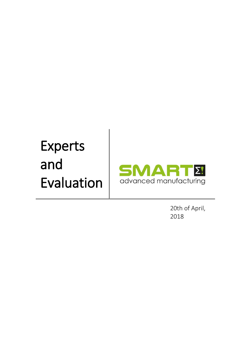# Experts and Evaluation



20th of April, 2018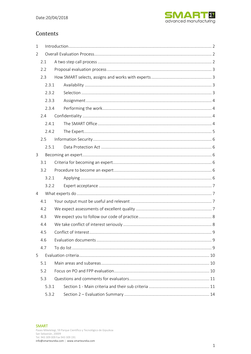

# Contents

| $\mathbf{1}$ |       |  |                      |   |  |  |
|--------------|-------|--|----------------------|---|--|--|
| 2            |       |  |                      |   |  |  |
|              | 2.1   |  |                      |   |  |  |
| 2.2          |       |  |                      |   |  |  |
|              | 2.3   |  |                      |   |  |  |
|              | 2.3.1 |  |                      |   |  |  |
|              | 2.3.2 |  |                      |   |  |  |
|              | 2.3.3 |  |                      |   |  |  |
|              | 2.3.4 |  |                      |   |  |  |
|              | 2.4   |  |                      |   |  |  |
|              | 2.4.1 |  |                      |   |  |  |
|              | 2.4.2 |  |                      |   |  |  |
|              | 2.5   |  |                      |   |  |  |
|              | 2.5.1 |  |                      |   |  |  |
| $\mathbf{3}$ |       |  |                      |   |  |  |
|              | 3.1   |  |                      |   |  |  |
|              | 3.2   |  |                      |   |  |  |
|              | 3.2.1 |  |                      |   |  |  |
|              | 3.2.2 |  |                      |   |  |  |
| 4            |       |  |                      |   |  |  |
|              | 4.1   |  |                      |   |  |  |
|              | 4.2   |  |                      |   |  |  |
|              | 4.3   |  |                      |   |  |  |
|              | 4.4   |  |                      |   |  |  |
|              | 4.5   |  | Conflict of Interest | 9 |  |  |
|              | 4.6   |  |                      |   |  |  |
|              | 4.7   |  |                      |   |  |  |
| 5            |       |  |                      |   |  |  |
|              | 5.1   |  |                      |   |  |  |
|              | 5.2   |  |                      |   |  |  |
|              | 5.3   |  |                      |   |  |  |
|              | 5.3.1 |  |                      |   |  |  |
|              | 5.3.2 |  |                      |   |  |  |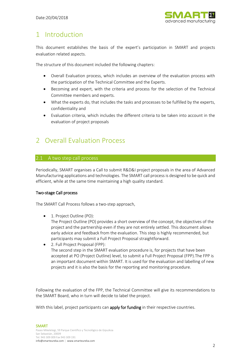

# <span id="page-2-0"></span>1 Introduction

This document establishes the basis of the expert's participation in SMART and projects evaluation related aspects.

The structure of this document included the following chapters:

- Overall Evaluation process, which includes an overview of the evaluation process with the participation of the Technical Committee and the Experts.
- Becoming and expert, with the criteria and process for the selection of the Technical Committee members and experts.
- What the experts do, that includes the tasks and processes to be fulfilled by the experts, confidentiality and
- Evaluation criteria, which includes the different criteria to be taken into account in the evaluation of project proposals

# <span id="page-2-1"></span>2 Overall Evaluation Process

# <span id="page-2-2"></span>2.1 A two step call process

Periodically, SMART organises a Call to submit R&D&I project proposals in the area of Advanced Manufacturing applications and technologies. The SMART call process is designed to be quick and efficient, while at the same time maintaining a high quality standard.

# Two-stage Call process

The SMART Call Process follows a two-step approach,

• 1. [Project Outline \(PO\):](https://itea3.org/po-stage.html)

The Project Outline (PO) provides a short overview of the concept, the objectives of the project and the partnership even if they are not entirely settled. This document allows early advice and feedback from the evaluation. This step is highly recommended, but participants may submit a Full Project Proposal straightforward.

• 2. [Full Project Proposal \(FPP\):](https://itea3.org/fpp-stage.html) The second step in the SMART evaluation procedure is, for projects that have been accepted at PO (Project Outline) level, to submit a Full Project Proposal (FPP).The FPP is an important document within SMART. It is used for the evaluation and labelling of new projects and it is also the basis for the reporting and monitoring procedure.

Following the evaluation of the FPP, the Technical Committee will give its recommendations to the SMART Board, who in turn will decide t[o label the project.](http://www.eurogia.com/label/eurogia-label.html)

With this label, project participants can apply for funding in their respective countries.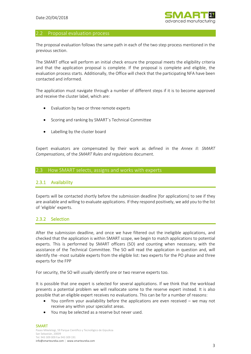

#### <span id="page-3-0"></span>2.2 Proposal evaluation process

The proposal evaluation follows the same path in each of the two step process mentioned in the previous section.

The SMART office will perform an initial check ensure the proposal meets the eligibility criteria and that the application proposal is complete. If the proposal is complete and eligible, the evaluation process starts. Additionally, the Office will check that the participating NFA have been contacted and informed.

The application must navigate through a number of different steps if it is to become approved and receive the cluster label, which are:

- Evaluation by two or three remote experts
- Scoring and ranking by SMART´s Technical Committee
- Labelling by the cluster board

Expert evaluators are compensated by their work as defined in the *Annex II: SMART Compensations*, of the *SMART Rules and regulations* document.

### <span id="page-3-1"></span>2.3 How SMART selects, assigns and works with experts

#### <span id="page-3-2"></span>2.3.1 Availability

Experts will be contacted shortly before the submission deadline [for applications] to see if they are available and willing to evaluate applications. If they respond positively, we add you to the list of 'eligible' experts.

# <span id="page-3-3"></span>2.3.2 Selection

After the submission deadline, and once we have filtered out the ineligible applications, and checked that the application is within SMART scope, we begin to match applications to potential experts. This is performed by SMART officers (SO) and counting when necessary, with the assistance of the Technical Committee. The SO will read the application in question and, will identify the -most suitable experts from the eligible list: two experts for the PO phase and three experts for the FPP

For security, the SO will usually identify one or two reserve experts too.

It is possible that one expert is selected for several applications. If we think that the workload presents a potential problem we will reallocate some to the reserve expert instead. It is also possible that an eligible expert receives no evaluations. This can be for a number of reasons:

- You confirm your availability before the applications are even received we may not receive any within your specialist areas.
- You may be selected as a reserve but never used.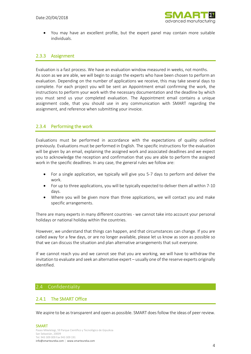

• You may have an excellent profile, but the expert panel may contain more suitable individuals.

# <span id="page-4-0"></span>2.3.3 Assignment

Evaluation is a fast process. We have an evaluation window measured in weeks, not months. As soon as we are able, we will begin to assign the experts who have been chosen to perform an evaluation. Depending on the number of applications we receive, this may take several days to complete. For each project you will be sent an Appointment email confirming the work, the instructions to perform your work with the necessary documentation and the deadline by which you must send us your completed evaluation. The Appointment email contains a unique assignment code, that you should use in any communication with SMART regarding the assignment, and reference when submitting your invoice.

# <span id="page-4-1"></span>2.3.4 Performing the work

Evaluations must be performed in accordance with the expectations of quality outlined previously. Evaluations must be performed in English. The specific instructions for the evaluation will be given by an email, explaining the assigned work and associated deadlines and we expect you to acknowledge the reception and confirmation that you are able to perform the assigned work in the specific deadlines. In any case, the general rules we follow are:

- For a single application, we typically will give you 5-7 days to perform and deliver the work.
- For up to three applications, you will be typically expected to deliver them all within 7-10 days.
- Where you will be given more than three applications, we will contact you and make specific arrangements.

There are many experts in many different countries - we cannot take into account your personal holidays or national holiday within the countries.

However, we understand that things can happen, and that circumstances can change. If you are called away for a few days, or are no longer available, please let us know as soon as possible so that we can discuss the situation and plan alternative arrangements that suit everyone.

If we cannot reach you and we cannot see that you are working, we will have to withdraw the invitation to evaluate and seek an alternative expert – usually one of the reserve experts originally identified.

# <span id="page-4-2"></span>2.4 Confidentiality

#### <span id="page-4-3"></span>2.4.1 The SMART Office

We aspire to be as transparent and open as possible. SMART does follow the ideas of peer review.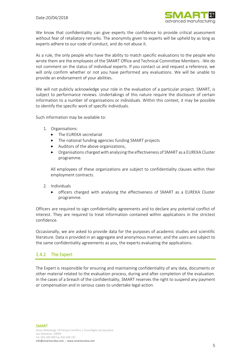

We know that confidentiality can give experts the confidence to provide critical assessment without fear of retaliatory remarks. The anonymity given to experts will be upheld by as long as experts adhere to our code of conduct, and do not abuse it.

As a rule, the only people who have the ability to match specific evaluations to the people who wrote them are the employees of the SMART Office and Technical Committee Members. -We do not comment on the status of individual experts. If you contact us and request a reference, we will only confirm whether or not you have performed any evaluations. We will be unable to provide an endorsement of your abilities.

We will not publicly acknowledge your role in the evaluation of a particular project. SMART, is subject to performance reviews. Undertakings of this nature require the disclosure of certain information to a number of organisations or individuals. Within this context, it may be possible to identify the specific work of specific individuals.

Such information may be available to:

- 1. Organisations:
	- The EUREKA secretariat
	- The national funding agencies funding SMART projects
	- Auditors of the above organizations,
	- Organisations charged with analysing the effectiveness of SMART as a EUREKA Cluster programme.

All employees of these organizations are subject to confidentiality clauses within their employment contracts.

- 2. Individuals
	- officers charged with analysing the effectiveness of SMART as a EUREKA Cluster programme.

Officers are required to sign confidentiality agreements and to declare any potential conflict of interest. They are required to treat information contained within applications in the strictest confidence.

Occasionally, we are asked to provide data for the purposes of academic studies and scientific literature. Data is provided in an aggregate and anonymous manner, and the users are subject to the same confidentiality agreements as you, the experts evaluating the applications.

# <span id="page-5-0"></span>2.4.2 The Expert

The Expert is responsible for ensuring and maintaining confidentiality of any data, documents or other material related to the evaluation process, during and after completion of the evaluation. In the cases of a breach of the confidentiality, SMART reserves the right to suspend any payment or compensation and in serious cases to undertake legal action.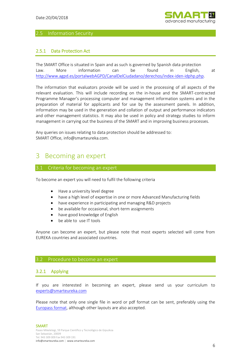

# <span id="page-6-0"></span>2.5 Information Security

# <span id="page-6-1"></span>2.5.1 Data Protection Act

The SMART Office is situated in Spain and as such is governed by Spanish data protection Law. More information can be found in English, at [http://www.agpd.es/portalwebAGPD/CanalDelCiudadano/derechos/index-iden-idphp.php.](http://www.agpd.es/portalwebAGPD/CanalDelCiudadano/derechos/index-iden-idphp.php)

The information that evaluators provide will be used in the processing of all aspects of the relevant evaluation. This will include recording on the in-house and the SMART-contracted Programme Manager's processing computer and management information systems and in the preparation of material for applicants and for use by the assessment panels. In addition, information may be used in the generation and collation of output and performance indicators and other management statistics. It may also be used in policy and strategy studies to inform management in carrying out the business of the SMART and in improving business processes.

<span id="page-6-2"></span>Any queries on issues relating to data protection should be addressed to: SMART Office, info@smarteureka.com.

# 3 Becoming an expert

#### <span id="page-6-3"></span>3.1 Criteria for becoming an expert

To become an expert you will need to fulfil the following criteria

- Have a university level degree
- have a high level of expertise in one or more Advanced Manufacturing fields
- have experience in participating and managing R&D projects
- be available for occasional, short-term assignments
- have good knowledge of English
- be able to use IT tools

Anyone can become an expert, but please note that most experts selected will come from EUREKA countries and associated countries.

#### <span id="page-6-4"></span>3.2 Procedure to become an expert

#### <span id="page-6-5"></span>3.2.1 Applying

If you are interested in becoming an expert, please send us your curriculum to [experts@smarteureka.com](mailto:experts@smarteureka.com)

Please note that only one single file in word or pdf format can be sent, preferably using the [Europass format,](http://europass.cedefop.europa.eu/) although other layouts are also accepted.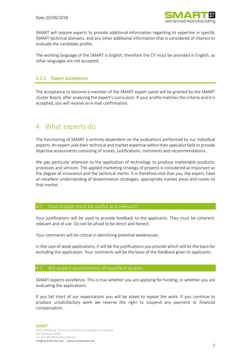

SMART will require experts to provide additional information regarding its expertise in specific SMART technical domains, and any other additional information that is considered of interest to evaluate the candidate profile.

The working language of the SMART is English, therefore the CV must be provided in English, as other languages are not accepted.

# <span id="page-7-0"></span>3.2.2 Expert acceptance

The acceptance to become a member of the SMART expert panel will be granted by the SMART cluster Board, after analysing the expert's curriculum. If your profile matches the criteria and it is accepted, you will receive an e-mail confirmation.

# <span id="page-7-1"></span>4 What experts do

The functioning of SMART is entirely dependent on the evaluations performed by our individual experts. An expert uses their technical and market expertise within their specialist field to provide objective assessments consisting of scores, justifications, comments and recommendations.

We pay particular attention to the application of technology to produce marketable products, processes and services. The applied marketing strategy of projects is considered as important as the degree of innovation and the technical merits. It is therefore vital that you, the expert, have an excellent understanding of dissemination strategies, appropriate market areas and routes to that market.

#### <span id="page-7-2"></span>4.1 Your output must be useful and relevant

Your justifications will be used to provide feedback to the applicants. They must be coherent, relevant and of use. Do not be afraid to be direct and honest.

Your comments will be critical in identifying potential weaknesses.

In the case of weak applications, it will be the justifications you provide which will be the basis for excluding the application. Your comments will be the basis of the feedback given to applicants.

# <span id="page-7-3"></span>4.2 We expect assessments of excellent quality

SMART expects excellence. This is true whether you are applying for funding, or whether you are evaluating the applications.

If you fall short of our expectations you will be asked to repeat the work. If you continue to produce unsatisfactory work we reserve the right to suspend any payment or financial compensation.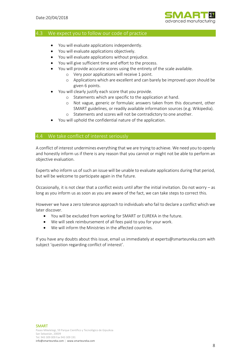

#### <span id="page-8-0"></span>4.3 We expect you to follow our code of practice

- You will evaluate applications independently.
- You will evaluate applications objectively.
- You will evaluate applications without prejudice.
- You will give sufficient time and effort to the process.
- You will provide accurate scores using the entirety of the scale available.
	- o Very poor applications will receive 1 point.
	- o Applications which are excellent and can barely be improved upon should be given 6 points.
- You will clearly justify each score that you provide.
	- o Statements which are specific to the application at hand.
	- o Not vague, generic or formulaic answers taken from this document, other SMART guidelines, or readily available information sources (e.g. Wikipedia).
	- o Statements and scores will not be contradictory to one another.
- You will uphold the confidential nature of the application.

# <span id="page-8-1"></span>4.4 We take conflict of interest seriously

A conflict of interest undermines everything that we are trying to achieve. We need you to openly and honestly inform us if there is any reason that you cannot or might not be able to perform an objective evaluation.

Experts who inform us of such an issue will be unable to evaluate applications during that period, but will be welcome to participate again in the future.

Occasionally, it is not clear that a conflict exists until after the initial invitation. Do not worry – as long as you inform us as soon as you are aware of the fact, we can take steps to correct this.

However we have a zero tolerance approach to individuals who fail to declare a conflict which we later discover.

- You will be excluded from working for SMART or EUREKA in the future.
- We will seek reimbursement of all fees paid to you for your work.
- We will inform the Ministries in the affected countries.

If you have any doubts about this issue, email us immediately at experts@smarteureka.com with subject 'question regarding conflict of interest'.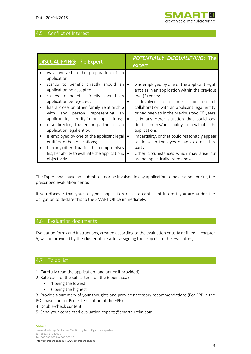# <span id="page-9-0"></span>4.5 Conflict of Interest

| <b>DISCUALIFYING: The Expert</b>                                                                         | POTENTIALLY DISQUALIFYING: The<br>expert |                                                                                                                  |
|----------------------------------------------------------------------------------------------------------|------------------------------------------|------------------------------------------------------------------------------------------------------------------|
| was involved in the preparation of an<br>application;                                                    |                                          |                                                                                                                  |
| stands to benefit directly should an<br>application be accepted;<br>stands to benefit directly should an |                                          | was employed by one of the applicant legal<br>entities in an application within the previous<br>two $(2)$ years; |
| application be rejected;                                                                                 |                                          | is involved in a contract or research                                                                            |
| has a close or other family relationship<br>with<br>any person representing<br>an                        |                                          | collaboration with an applicant legal entity,<br>or had been so in the previous two (2) years;                   |
| applicant legal entity in the applications;<br>is a director, trustee or partner of an                   | $\bullet$                                | is in any other situation that could cast<br>doubt on his/her ability to evaluate the                            |
| application legal entity;                                                                                |                                          | applications                                                                                                     |
| is employed by one of the applicant legal                                                                |                                          | impartiality, or that could reasonably appear                                                                    |
| entities in the applications;<br>is in any other situation that compromises                              |                                          | to do so in the eyes of an external third<br>party.                                                              |
| his/her ability to evaluate the applications                                                             |                                          | Other circumstances which may arise but                                                                          |
| objectively.                                                                                             |                                          | are not specifically listed above.                                                                               |

The Expert shall have not submitted nor be involved in any application to be assessed during the prescribed evaluation period.

If you discover that your assigned application raises a conflict of interest you are under the obligation to declare this to the SMART Office immediately.

## <span id="page-9-1"></span>4.6 Evaluation documents

Evaluation forms and instructions, created according to the evaluation criteria defined in chapter 5, will be provided by the cluster office after assigning the projects to the evaluators,

#### <span id="page-9-2"></span>4.7 To do list

1. Carefully read the application (and annex if provided).

- 2. Rate each of the sub criteria on the 6 point scale
	- 1 being the lowest
	- 6 being the highest

3. Provide a summary of your thoughts and provide necessary recommendations (For FPP in the

- PO phase and for Project Execution of the FPP)
- 4. Double-check content.
- 5. Send your completed evaluation experts@smarteureka.com

#### SMART

Paseo Mikeletegi, 59 Parque Científico y Tecnológico de Gipuzkoa San Sebastián, 20009 Tel. 943 309 009 Fax 943 309 191 info@smarteureka.com | www.smarteureka.com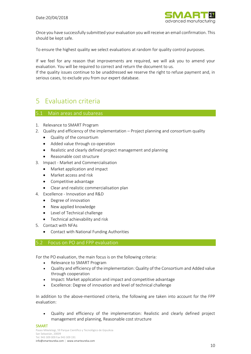

Once you have successfully submitted your evaluation you will receive an email confirmation. This should be kept safe.

To ensure the highest quality we select evaluations at random for quality control purposes.

If we feel for any reason that improvements are required, we will ask you to amend your evaluation. You will be required to correct and return the document to us.

If the quality issues continue to be unaddressed we reserve the right to refuse payment and, in serious cases, to exclude you from our expert database.

# <span id="page-10-0"></span>5 Evaluation criteria

# <span id="page-10-1"></span>5.1 Main areas and subareas

- 1. Relevance to SMART Program
- 2. Quality and efficiency of the implementation Project planning and consortium quality
	- Quality of the consortium
	- Added value through co-operation
	- Realistic and clearly defined project management and planning
	- Reasonable cost structure
- 3. Impact Market and Commercialisation
	- Market application and impact
	- Market access and risk
	- Competitive advantage
	- Clear and realistic commercialisation plan
- 4. Excellence Innovation and R&D
	- Degree of innovation
	- New applied knowledge
	- Level of Technical challenge
	- Technical achievability and risk
- 5. Contact with NFAs
	- Contact with National Funding Authorities

# <span id="page-10-2"></span>5.2 Focus on PO and FPP evaluation

For the PO evaluation, the main focus is on the following criteria:

- Relevance to SMART Program
- Quality and efficiency of the implementation: Quality of the Consortium and Added value through cooperation
- Impact: Market application and impact and competitive advantage
- Excellence: Degree of innovation and level of technical challenge

In addition to the above-mentioned criteria, the following are taken into account for the FPP evaluation:

• Quality and efficiency of the implementation: Realistic and clearly defined project management and planning, Reasonable cost structure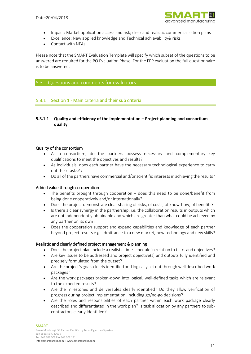

- Impact: Market application access and risk; clear and realistic commercialisation plans
- Excellence: New applied knowledge and Technical achievability& risks
- Contact with NFAs

Please note that the SMART Evaluation Template will specify which subset of the questions to be answered are required for the PO Evaluation Phase. For the FPP evaluation the full questionnaire is to be answered.

#### <span id="page-11-0"></span>5.3 Questions and comments for evaluators

# <span id="page-11-1"></span>5.3.1 Section 1 - Main criteria and their sub criteria

## **5.3.1.1 Quality and efficiency of the implementation – Project planning and consortium quality**

#### Quality of the consortium

- As a consortium, do the partners possess necessary and complementary key qualifications to meet the objectives and results?
- As individuals, does each partner have the necessary technological experience to carry out their tasks? ›
- Do all of the partners have commercial and/or scientific interests in achieving the results?

#### Added value through co-operation

- The benefits brought through cooperation  $-$  does this need to be done/benefit from being done cooperatively and/or internationally?
- Does the project demonstrate clear sharing of risks, of costs, of know-how, of benefits?
- Is there a clear synergy in the partnership, i.e. the collaboration results in outputs which are not independently obtainable and which are greater than what could be achieved by any partner on its own?
- Does the cooperation support and expand capabilities and knowledge of each partner beyond project results e.g. admittance to a new market, new technology and new skills?

#### Realistic and clearly defined project management & planning

- Does the project plan include a realistic time schedule in relation to tasks and objectives?
- Are key issues to be addressed and project objective(s) and outputs fully identified and precisely formulated from the outset?
- Are the project's goals clearly identified and logically set out through well described work packages?
- Are the work packages broken-down into logical, well-defined tasks which are relevant to the expected results?
- Are the milestones and deliverables clearly identified? Do they allow verification of progress during project implementation, including go/no-go decisions?
- Are the roles and responsibilities of each partner within each work package clearly described and differentiated in the work plan? Is task allocation by any partners to subcontractors clearly identified?

# **SMART**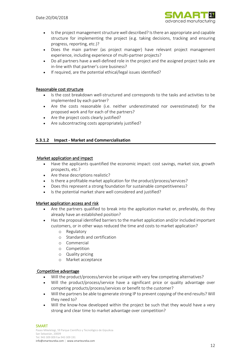

- Is the project management structure well described? Is there an appropriate and capable structure for implementing the project (e.g. taking decisions, tracking and ensuring progress, reporting, etc.)?
- Does the main partner (as project manager) have relevant project management experience, including experience of multi-partner projects?
- Do all partners have a well-defined role in the project and the assigned project tasks are in-line with that partner's core business?
- If required, are the potential ethical/legal issues identified?

#### Reasonable cost structure

- Is the cost breakdown well-structured and corresponds to the tasks and activities to be implemented by each partner?
- Are the costs reasonable (i.e. neither underestimated nor overestimated) for the proposed work and for each of the partners?
- Are the project costs clearly justified?
- Are subcontracting costs appropriately justified?

### **5.3.1.2 Impact - Market and Commercialisation**

#### Market application and impact

- Have the applicants quantified the economic impact: cost savings, market size, growth prospects, etc.?
- Are these descriptions realistic?
- Is there a profitable market application for the product/process/services?
- Does this represent a strong foundation for sustainable competitiveness?
- Is the potential market share well considered and justified?

#### Market application access and risk

- Are the partners qualified to break into the application market or, preferably, do they already have an established position?
- Has the proposal identified barriers to the market application and/or included important customers, or in other ways reduced the time and costs to market application?
	- o Regulatory
	- o Standards and certification
	- o Commercial
	- o Competition
	- o Quality pricing
	- o Market acceptance

#### Competitive advantage

- Will the product/process/service be unique with very few competing alternatives?
- Will the product/process/service have a significant price or quality advantage over competing products/process/services or benefit to the customer?
- Will the partners be able to generate strong IP to prevent copying of the end results? Will they need to?
- Will the know-how developed within the project be such that they would have a very strong and clear time to market advantage over competition?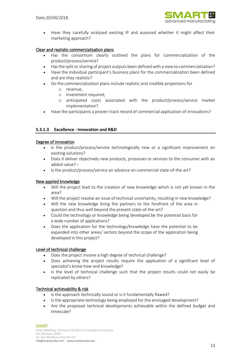

• Have they carefully analysed existing IP and assessed whether it might affect their marketing approach?

#### Clear and realistic commercialization plans

- Has the consortium clearly outlined the plans for commercialization of the product/process/service?
- Has the split or sharing of project outputs been defined with a view to commercialization?
- Have the individual participant's business plans for the commercialization been defined and are they realistic?
- Do the commercialization plans include realistic and credible projections for
	- o revenue,
	- o investment required,
	- o anticipated costs associated with the product/process/service market implementation?
- Have the participants a proven track record of commercial application of innovations?

### **5.3.1.3 Excellence - Innovation and R&D**

#### Degree of innovation

- Is the product/process/service technologically new or a significant improvement on existing solutions?
- Does it deliver objectively new products, processes or services to the consumer with an added value? ›
- Is the product/process/service an advance on commercial state-of-the-art?

#### New applied knowledge

- Will the project lead to the creation of new knowledge which is not yet known in the area?
- Will the project resolve an issue of technical uncertainty, resulting in new knowledge?
- Will the new knowledge bring the partners to the forefront of the area in question and thus well beyond the present state-of-the-art?
- Could the technology or knowledge being developed be the potential basis for a wide number of applications?
- Does the application for the technology/knowledge have the potential to be expanded into other areas/ sectors beyond the scope of the application being developed in this project?

#### Level of technical challenge

- Does the project involve a high degree of technical challenge?
- Does achieving the project results require the application of a significant level of specialist's know-how and knowledge?
- Is the level of technical challenge such that the project results could not easily be replicated by others?

#### Technical achievability & risk

- Is the approach technically sound or is it fundamentally flawed?
- Is the appropriate technology being employed for the envisaged development?
- Are the proposed technical developments achievable within the defined budget and timescale?

# **SMART**

Paseo Mikeletegi, 59 Parque Científico y Tecnológico de Gipuzkoa San Sebastián, 20009 Tel. 943 309 009 Fax 943 309 191 info@smarteureka.com | www.smarteureka.com